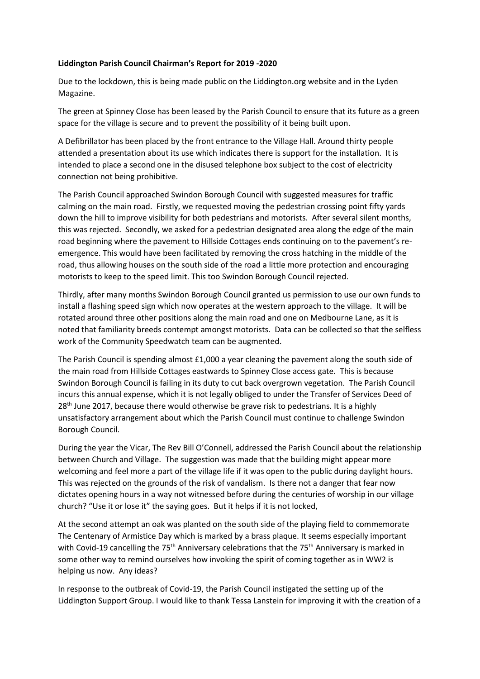## **Liddington Parish Council Chairman's Report for 2019 -2020**

Due to the lockdown, this is being made public on the Liddington.org website and in the Lyden Magazine.

The green at Spinney Close has been leased by the Parish Council to ensure that its future as a green space for the village is secure and to prevent the possibility of it being built upon.

A Defibrillator has been placed by the front entrance to the Village Hall. Around thirty people attended a presentation about its use which indicates there is support for the installation. It is intended to place a second one in the disused telephone box subject to the cost of electricity connection not being prohibitive.

The Parish Council approached Swindon Borough Council with suggested measures for traffic calming on the main road. Firstly, we requested moving the pedestrian crossing point fifty yards down the hill to improve visibility for both pedestrians and motorists. After several silent months, this was rejected. Secondly, we asked for a pedestrian designated area along the edge of the main road beginning where the pavement to Hillside Cottages ends continuing on to the pavement's reemergence. This would have been facilitated by removing the cross hatching in the middle of the road, thus allowing houses on the south side of the road a little more protection and encouraging motorists to keep to the speed limit. This too Swindon Borough Council rejected.

Thirdly, after many months Swindon Borough Council granted us permission to use our own funds to install a flashing speed sign which now operates at the western approach to the village. It will be rotated around three other positions along the main road and one on Medbourne Lane, as it is noted that familiarity breeds contempt amongst motorists. Data can be collected so that the selfless work of the Community Speedwatch team can be augmented.

The Parish Council is spending almost £1,000 a year cleaning the pavement along the south side of the main road from Hillside Cottages eastwards to Spinney Close access gate. This is because Swindon Borough Council is failing in its duty to cut back overgrown vegetation. The Parish Council incurs this annual expense, which it is not legally obliged to under the Transfer of Services Deed of 28<sup>th</sup> June 2017, because there would otherwise be grave risk to pedestrians. It is a highly unsatisfactory arrangement about which the Parish Council must continue to challenge Swindon Borough Council.

During the year the Vicar, The Rev Bill O'Connell, addressed the Parish Council about the relationship between Church and Village. The suggestion was made that the building might appear more welcoming and feel more a part of the village life if it was open to the public during daylight hours. This was rejected on the grounds of the risk of vandalism. Is there not a danger that fear now dictates opening hours in a way not witnessed before during the centuries of worship in our village church? "Use it or lose it" the saying goes. But it helps if it is not locked,

At the second attempt an oak was planted on the south side of the playing field to commemorate The Centenary of Armistice Day which is marked by a brass plaque. It seems especially important with Covid-19 cancelling the 75<sup>th</sup> Anniversary celebrations that the 75<sup>th</sup> Anniversary is marked in some other way to remind ourselves how invoking the spirit of coming together as in WW2 is helping us now. Any ideas?

In response to the outbreak of Covid-19, the Parish Council instigated the setting up of the Liddington Support Group. I would like to thank Tessa Lanstein for improving it with the creation of a